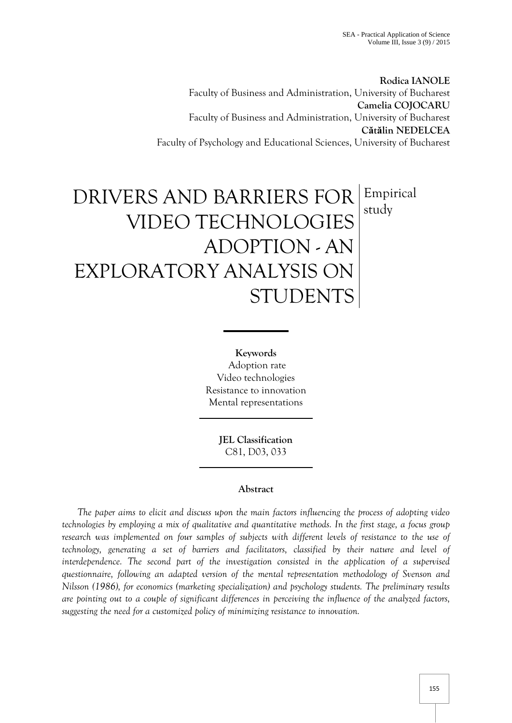**Rodica IANOLE** Faculty of Business and Administration, University of Bucharest **Camelia COJOCARU** Faculty of Business and Administration, University of Bucharest **Cătălin NEDELCEA** Faculty of Psychology and Educational Sciences, University of Bucharest

# DRIVERS AND BARRIERS FOR VIDEO TECHNOLOGIES ADOPTION - AN EXPLORATORY ANALYSIS ON STUDENTS Empirical study

**Keywords** Adoption rate Video technologies Resistance to innovation Mental representations

> **JEL Classification**  C81, D03, 033

## **Abstract**

*The paper aims to elicit and discuss upon the main factors influencing the process of adopting video technologies by employing a mix of qualitative and quantitative methods. In the first stage, a focus group*  research was implemented on four samples of subjects with different levels of resistance to the use of *technology, generating a set of barriers and facilitators, classified by their nature and level of*  interdependence. The second part of the investigation consisted in the application of a supervised *questionnaire, following an adapted version of the mental representation methodology of Svenson and Nilsson (1986), for economics (marketing specialization) and psychology students. The preliminary results are pointing out to a couple of significant differences in perceiving the influence of the analyzed factors, suggesting the need for a customized policy of minimizing resistance to innovation.*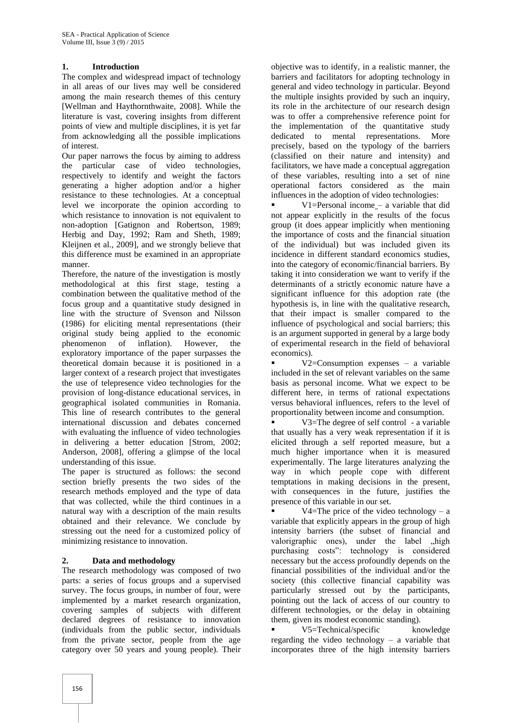## **1. Introduction**

The complex and widespread impact of technology in all areas of our lives may well be considered among the main research themes of this century [Wellman and Haythornthwaite, 2008]. While the literature is vast, covering insights from different points of view and multiple disciplines, it is yet far from acknowledging all the possible implications of interest.

Our paper narrows the focus by aiming to address the particular case of video technologies, respectively to identify and weight the factors generating a higher adoption and/or a higher resistance to these technologies. At a conceptual level we incorporate the opinion according to which resistance to innovation is not equivalent to non-adoption [Gatignon and Robertson, 1989; Herbig and Day, 1992; Ram and Sheth, 1989; Kleijnen et al., 2009], and we strongly believe that this difference must be examined in an appropriate manner.

Therefore, the nature of the investigation is mostly methodological at this first stage, testing a combination between the qualitative method of the focus group and a quantitative study designed in line with the structure of Svenson and Nilsson (1986) for eliciting mental representations (their original study being applied to the economic phenomenon of inflation). However, the exploratory importance of the paper surpasses the theoretical domain because it is positioned in a larger context of a research project that investigates the use of telepresence video technologies for the provision of long-distance educational services, in geographical isolated communities in Romania. This line of research contributes to the general international discussion and debates concerned with evaluating the influence of video technologies in delivering a better education [Strom, 2002; Anderson, 2008], offering a glimpse of the local understanding of this issue.

The paper is structured as follows: the second section briefly presents the two sides of the research methods employed and the type of data that was collected, while the third continues in a natural way with a description of the main results obtained and their relevance. We conclude by stressing out the need for a customized policy of minimizing resistance to innovation.

## **2. Data and methodology**

The research methodology was composed of two parts: a series of focus groups and a supervised survey. The focus groups, in number of four, were implemented by a market research organization, covering samples of subjects with different declared degrees of resistance to innovation (individuals from the public sector, individuals from the private sector, people from the age category over 50 years and young people). Their

objective was to identify, in a realistic manner, the barriers and facilitators for adopting technology in general and video technology in particular. Beyond the multiple insights provided by such an inquiry, its role in the architecture of our research design was to offer a comprehensive reference point for the implementation of the quantitative study dedicated to mental representations. More precisely, based on the typology of the barriers (classified on their nature and intensity) and facilitators, we have made a conceptual aggregation of these variables, resulting into a set of nine operational factors considered as the main influences in the adoption of video technologies:

 V1=Personal income – a variable that did not appear explicitly in the results of the focus group (it does appear implicitly when mentioning the importance of costs and the financial situation of the individual) but was included given its incidence in different standard economics studies, into the category of economic/financial barriers. By taking it into consideration we want to verify if the determinants of a strictly economic nature have a significant influence for this adoption rate (the hypothesis is, in line with the qualitative research, that their impact is smaller compared to the influence of psychological and social barriers; this is an argument supported in general by a large body of experimental research in the field of behavioral economics).

v2=Consumption expenses – a variable included in the set of relevant variables on the same basis as personal income. What we expect to be different here, in terms of rational expectations versus behavioral influences, refers to the level of proportionality between income and consumption.

 V3=The degree of self control - a variable that usually has a very weak representation if it is elicited through a self reported measure, but a much higher importance when it is measured experimentally. The large literatures analyzing the way in which people cope with different temptations in making decisions in the present, with consequences in the future, justifies the presence of this variable in our set.

V4=The price of the video technology  $- a$ variable that explicitly appears in the group of high intensity barriers (the subset of financial and valorigraphic ones), under the label "high purchasing costs": technology is considered necessary but the access profoundly depends on the financial possibilities of the individual and/or the society (this collective financial capability was particularly stressed out by the participants, pointing out the lack of access of our country to different technologies, or the delay in obtaining them, given its modest economic standing).

 V5=Technical/specific knowledge regarding the video technology – a variable that incorporates three of the high intensity barriers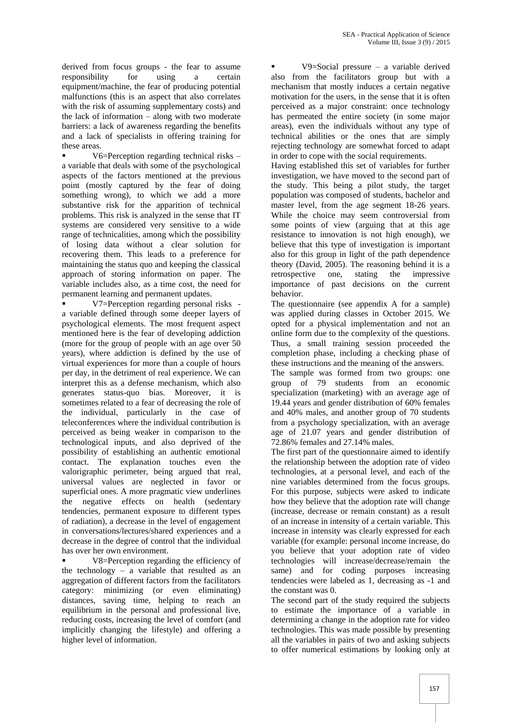derived from focus groups - the fear to assume responsibility for using a certain equipment/machine, the fear of producing potential malfunctions (this is an aspect that also correlates with the risk of assuming supplementary costs) and the lack of information – along with two moderate barriers: a lack of awareness regarding the benefits and a lack of specialists in offering training for these areas.

 V6=Perception regarding technical risks – a variable that deals with some of the psychological aspects of the factors mentioned at the previous point (mostly captured by the fear of doing something wrong), to which we add a more substantive risk for the apparition of technical problems. This risk is analyzed in the sense that IT systems are considered very sensitive to a wide range of technicalities, among which the possibility of losing data without a clear solution for recovering them. This leads to a preference for maintaining the status quo and keeping the classical approach of storing information on paper. The variable includes also, as a time cost, the need for permanent learning and permanent updates.

 V7=Perception regarding personal risks a variable defined through some deeper layers of psychological elements. The most frequent aspect mentioned here is the fear of developing addiction (more for the group of people with an age over 50 years), where addiction is defined by the use of virtual experiences for more than a couple of hours per day, in the detriment of real experience. We can interpret this as a defense mechanism, which also generates status-quo bias. Moreover, it is sometimes related to a fear of decreasing the role of the individual, particularly in the case of teleconferences where the individual contribution is perceived as being weaker in comparison to the technological inputs, and also deprived of the possibility of establishing an authentic emotional contact. The explanation touches even the valorigraphic perimeter, being argued that real, universal values are neglected in favor or superficial ones. A more pragmatic view underlines the negative effects on health (sedentary tendencies, permanent exposure to different types of radiation), a decrease in the level of engagement in conversations/lectures/shared experiences and a decrease in the degree of control that the individual has over her own environment.

 V8=Perception regarding the efficiency of the technology – a variable that resulted as an aggregation of different factors from the facilitators category: minimizing (or even eliminating) distances, saving time, helping to reach an equilibrium in the personal and professional live, reducing costs, increasing the level of comfort (and implicitly changing the lifestyle) and offering a higher level of information.

 V9=Social pressure – a variable derived also from the facilitators group but with a mechanism that mostly induces a certain negative motivation for the users, in the sense that it is often perceived as a major constraint: once technology has permeated the entire society (in some major areas), even the individuals without any type of technical abilities or the ones that are simply rejecting technology are somewhat forced to adapt in order to cope with the social requirements.

Having established this set of variables for further investigation, we have moved to the second part of the study. This being a pilot study, the target population was composed of students, bachelor and master level, from the age segment 18-26 years. While the choice may seem controversial from some points of view (arguing that at this age resistance to innovation is not high enough), we believe that this type of investigation is important also for this group in light of the path dependence theory (David, 2005). The reasoning behind it is a retrospective one, stating the impressive importance of past decisions on the current behavior.

The questionnaire (see appendix A for a sample) was applied during classes in October 2015. We opted for a physical implementation and not an online form due to the complexity of the questions. Thus, a small training session proceeded the completion phase, including a checking phase of these instructions and the meaning of the answers.

The sample was formed from two groups: one group of 79 students from an economic specialization (marketing) with an average age of 19.44 years and gender distribution of 60% females and 40% males, and another group of 70 students from a psychology specialization, with an average age of 21.07 years and gender distribution of 72.86% females and 27.14% males.

The first part of the questionnaire aimed to identify the relationship between the adoption rate of video technologies, at a personal level, and each of the nine variables determined from the focus groups. For this purpose, subjects were asked to indicate how they believe that the adoption rate will change (increase, decrease or remain constant) as a result of an increase in intensity of a certain variable. This increase in intensity was clearly expressed for each variable (for example: personal income increase, do you believe that your adoption rate of video technologies will increase/decrease/remain the same) and for coding purposes increasing tendencies were labeled as 1, decreasing as -1 and the constant was 0.

The second part of the study required the subjects to estimate the importance of a variable in determining a change in the adoption rate for video technologies. This was made possible by presenting all the variables in pairs of two and asking subjects to offer numerical estimations by looking only at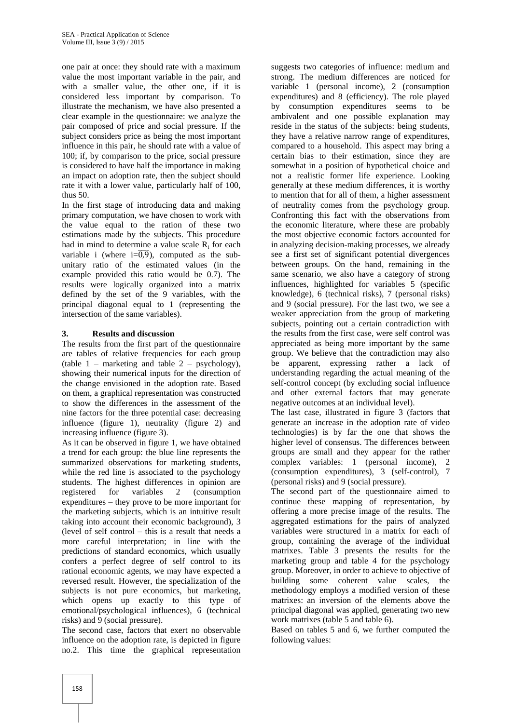one pair at once: they should rate with a maximum value the most important variable in the pair, and with a smaller value, the other one, if it is considered less important by comparison. To illustrate the mechanism, we have also presented a clear example in the questionnaire: we analyze the pair composed of price and social pressure. If the subject considers price as being the most important influence in this pair, he should rate with a value of 100; if, by comparison to the price, social pressure is considered to have half the importance in making an impact on adoption rate, then the subject should rate it with a lower value, particularly half of 100, thus 50.

In the first stage of introducing data and making primary computation, we have chosen to work with the value equal to the ration of these two estimations made by the subjects. This procedure had in mind to determine a value scale  $R_i$  for each variable i (where  $i=\overline{0,9}$ ), computed as the subunitary ratio of the estimated values (in the example provided this ratio would be 0.7). The results were logically organized into a matrix defined by the set of the 9 variables, with the principal diagonal equal to 1 (representing the intersection of the same variables).

## **3. Results and discussion**

The results from the first part of the questionnaire are tables of relative frequencies for each group (table  $1$  – marketing and table  $2$  – psychology), showing their numerical inputs for the direction of the change envisioned in the adoption rate. Based on them, a graphical representation was constructed to show the differences in the assessment of the nine factors for the three potential case: decreasing influence (figure 1), neutrality (figure 2) and increasing influence (figure 3).

As it can be observed in figure 1, we have obtained a trend for each group: the blue line represents the summarized observations for marketing students, while the red line is associated to the psychology students. The highest differences in opinion are registered for variables 2 (consumption expenditures – they prove to be more important for the marketing subjects, which is an intuitive result taking into account their economic background), 3 (level of self control – this is a result that needs a more careful interpretation; in line with the predictions of standard economics, which usually confers a perfect degree of self control to its rational economic agents, we may have expected a reversed result. However, the specialization of the subjects is not pure economics, but marketing, which opens up exactly to this type of emotional/psychological influences), 6 (technical risks) and 9 (social pressure).

The second case, factors that exert no observable influence on the adoption rate, is depicted in figure no.2. This time the graphical representation

suggests two categories of influence: medium and strong. The medium differences are noticed for variable 1 (personal income), 2 (consumption expenditures) and 8 (efficiency). The role played by consumption expenditures seems to be ambivalent and one possible explanation may reside in the status of the subjects: being students, they have a relative narrow range of expenditures, compared to a household. This aspect may bring a certain bias to their estimation, since they are somewhat in a position of hypothetical choice and not a realistic former life experience. Looking generally at these medium differences, it is worthy to mention that for all of them, a higher assessment of neutrality comes from the psychology group. Confronting this fact with the observations from the economic literature, where these are probably the most objective economic factors accounted for in analyzing decision-making processes, we already see a first set of significant potential divergences between groups. On the hand, remaining in the same scenario, we also have a category of strong influences, highlighted for variables 5 (specific knowledge), 6 (technical risks), 7 (personal risks) and 9 (social pressure). For the last two, we see a weaker appreciation from the group of marketing subjects, pointing out a certain contradiction with the results from the first case, were self control was appreciated as being more important by the same group. We believe that the contradiction may also be apparent, expressing rather a lack of understanding regarding the actual meaning of the self-control concept (by excluding social influence and other external factors that may generate negative outcomes at an individual level).

The last case, illustrated in figure 3 (factors that generate an increase in the adoption rate of video technologies) is by far the one that shows the higher level of consensus. The differences between groups are small and they appear for the rather complex variables: 1 (personal income), 2 (consumption expenditures), 3 (self-control), 7 (personal risks) and 9 (social pressure).

The second part of the questionnaire aimed to continue these mapping of representation, by offering a more precise image of the results. The aggregated estimations for the pairs of analyzed variables were structured in a matrix for each of group, containing the average of the individual matrixes. Table 3 presents the results for the marketing group and table 4 for the psychology group. Moreover, in order to achieve to objective of building some coherent value scales, the methodology employs a modified version of these matrixes: an inversion of the elements above the principal diagonal was applied, generating two new work matrixes (table 5 and table 6).

Based on tables 5 and 6, we further computed the following values: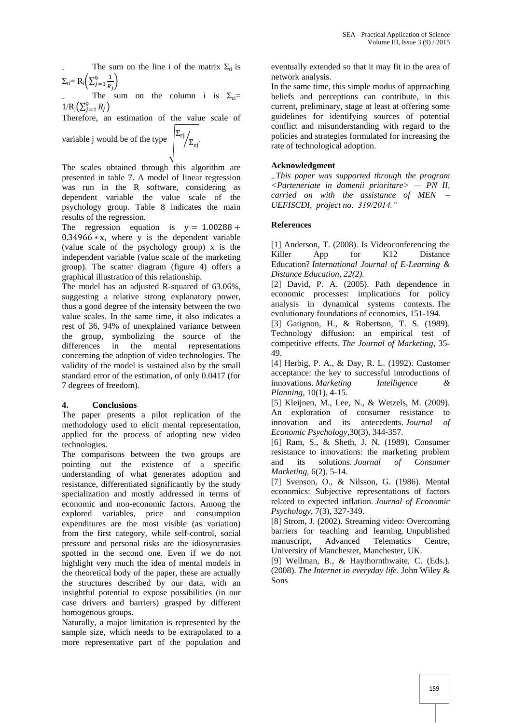The sum on the line i of the matrix  $\Sigma_{ri}$  is  $\Sigma_{\rm{ri}}$ = R<sub>i</sub> $\left(\sum_{i=1}^{9}\frac{1}{R}\right)$ R  $\left(\frac{9}{1-1}\right)$ 

The sum on the column i is  $\Sigma_{ci}$ =  $1/R_j(\sum_{j=1}^9 R_j)$ 

Therefore, an estimation of the value scale of

variable j would be of the type  $\left| \frac{\Sigma_{\text{rj}}}{\Sigma_{\text{cj}}} \right|$ 

The scales obtained through this algorithm are presented in table 7. A model of linear regression was run in the R software, considering as dependent variable the value scale of the psychology group. Table 8 indicates the main results of the regression.

The regression equation is  $y = 1.00288 +$  $0.34966 \times x$ , where y is the dependent variable (value scale of the psychology group) x is the independent variable (value scale of the marketing group). The scatter diagram (figure 4) offers a graphical illustration of this relationship.

The model has an adjusted R-squared of 63.06%, suggesting a relative strong explanatory power, thus a good degree of the intensity between the two value scales. In the same time, it also indicates a rest of 36, 94% of unexplained variance between the group, symbolizing the source of the differences in the mental representations concerning the adoption of video technologies. The validity of the model is sustained also by the small standard error of the estimation, of only 0.0417 (for 7 degrees of freedom).

## **4. Conclusions**

The paper presents a pilot replication of the methodology used to elicit mental representation, applied for the process of adopting new video technologies.

The comparisons between the two groups are pointing out the existence of a specific understanding of what generates adoption and resistance, differentiated significantly by the study specialization and mostly addressed in terms of economic and non-economic factors. Among the explored variables, price and consumption expenditures are the most visible (as variation) from the first category, while self-control, social pressure and personal risks are the idiosyncrasies spotted in the second one. Even if we do not highlight very much the idea of mental models in the theoretical body of the paper, these are actually the structures described by our data, with an insightful potential to expose possibilities (in our case drivers and barriers) grasped by different homogenous groups.

Naturally, a major limitation is represented by the sample size, which needs to be extrapolated to a more representative part of the population and eventually extended so that it may fit in the area of network analysis.

In the same time, this simple modus of approaching beliefs and perceptions can contribute, in this current, preliminary, stage at least at offering some guidelines for identifying sources of potential conflict and misunderstanding with regard to the policies and strategies formulated for increasing the rate of technological adoption.

## **Acknowledgment**

*"This paper was supported through the program <Parteneriate in domenii prioritare> — PN II, carried on with the assistance of MEN – UEFISCDI, project no. 319/2014."*

#### **References**

[1] Anderson, T. (2008). Is Videoconferencing the Killer App for K12 Distance Education? *International Journal of E-Learning & Distance Education, 22(2).*

[2] David, P. A. (2005). Path dependence in economic processes: implications for policy analysis in dynamical systems contexts. The evolutionary foundations of economics, 151-194.

[3] Gatignon, H., & Robertson, T. S. (1989). Technology diffusion: an empirical test of competitive effects. *The Journal of Marketing*, 35- 49.

[4] Herbig, P. A., & Day, R. L. (1992). Customer acceptance: the key to successful introductions of innovations. *Marketing Intelligence & Planning,* 10(1), 4-15.

[5] Kleijnen, M., Lee, N., & Wetzels, M. (2009). An exploration of consumer resistance to innovation and its antecedents. *Journal of Economic Psychology*,30(3), 344-357.

[6] Ram, S., & Sheth, J. N. (1989). Consumer resistance to innovations: the marketing problem and its solutions. *Journal of Consumer Marketing,* 6(2), 5-14.

[7] Svenson, O., & Nilsson, G. (1986). Mental economics: Subjective representations of factors related to expected inflation. *Journal of Economic Psychology*, 7(3), 327-349.

[8] Strom, J. (2002). Streaming video: Overcoming barriers for teaching and learning. Unpublished manuscript, Advanced Telematics Centre, University of Manchester, Manchester, UK.

[9] Wellman, B., & Haythornthwaite, C. (Eds.). (2008). *The Internet in everyday life*. John Wiley & Sons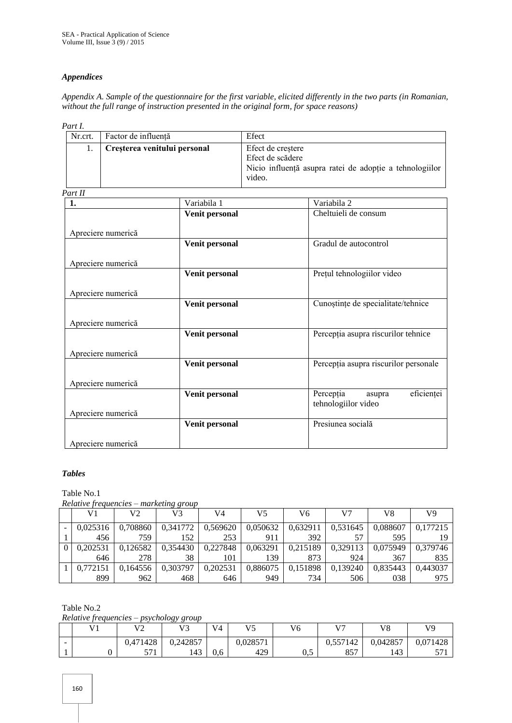## *Appendices*

*Appendix A. Sample of the questionnaire for the first variable, elicited differently in the two parts (in Romanian, without the full range of instruction presented in the original form, for space reasons)*

*Part I.*

| .       |                              |                                                         |
|---------|------------------------------|---------------------------------------------------------|
| Nr.crt. | Factor de influență          | Efect                                                   |
|         | Creșterea venitului personal | Efect de creștere                                       |
|         |                              | Efect de scădere                                        |
|         |                              | Nicio influență asupra ratei de adopție a tehnologiilor |
|         |                              | video.                                                  |

*Part II*

| <i>un 11</i>       |                |                                       |
|--------------------|----------------|---------------------------------------|
| 1.                 | Variabila 1    | Variabila 2                           |
|                    | Venit personal | Cheltuieli de consum                  |
|                    |                |                                       |
| Apreciere numerică |                |                                       |
|                    | Venit personal | Gradul de autocontrol                 |
|                    |                |                                       |
| Apreciere numerică |                |                                       |
|                    | Venit personal | Prețul tehnologiilor video            |
|                    |                |                                       |
| Apreciere numerică |                |                                       |
|                    | Venit personal | Cunoștințe de specialitate/tehnice    |
|                    |                |                                       |
| Apreciere numerică |                |                                       |
|                    |                |                                       |
|                    | Venit personal | Percepția asupra riscurilor tehnice   |
|                    |                |                                       |
| Apreciere numerică |                |                                       |
|                    | Venit personal | Percepția asupra riscurilor personale |
|                    |                |                                       |
| Apreciere numerică |                |                                       |
|                    | Venit personal | eficienței<br>Percepția<br>asupra     |
|                    |                | tehnologiilor video                   |
| Apreciere numerică |                |                                       |
|                    | Venit personal | Presiunea socială                     |
|                    |                |                                       |
|                    |                |                                       |
| Apreciere numerică |                |                                       |

## *Tables*

Table No.1

*Relative frequencies – marketing group*

| V1       | V2       | ິ<br>V3  | V4       | V5       | V6       | V7       | V8       | V9       |
|----------|----------|----------|----------|----------|----------|----------|----------|----------|
| 0.025316 | 0,708860 | 0.341772 | 0,569620 | 0,050632 | 0,632911 | 0.531645 | 0.088607 | 0,177215 |
| 456      | 759      | 152      | 253      | 911      | 392      | 57       | 595      | 19       |
| 0.202531 | 0,126582 | 0,354430 | 0,227848 | 0,063291 | 0,215189 | 0,329113 | 0,075949 | 0.379746 |
| 646      | 278      | 38       | 101      | 139      | 873      | 924      | 367      | 835      |
| 0.772151 | 0.164556 | 0.303797 | 0,202531 | 0,886075 | 0,151898 | 0,139240 | 0.835443 | 0.443037 |
| 899      | 962      | 468      | 646      | 949      | 734      | 506      | 038      | 975      |

Table No.2

*Relative frequencies – psychology group*

|                          | <b>T</b> 71 | $\mathbf{V}$<br>∸ | $\sim$<br>172<br>ر ' | V <sub>4</sub> | V <sub>5</sub><br>$\sim$ | T<br>vб | $\mathbf{V}$ | V8       | V <sub>9</sub> |
|--------------------------|-------------|-------------------|----------------------|----------------|--------------------------|---------|--------------|----------|----------------|
| $\overline{\phantom{0}}$ |             | 0,471428          | 0,242857             |                | 0,028571                 |         | 0,557142     | 0,042857 | 0,071428       |
|                          |             | 571<br><u>JII</u> | 143                  | 0.6            | 429                      | ∪∙      | 057<br>0J 1  | 143      | 57<br>ັ≀       |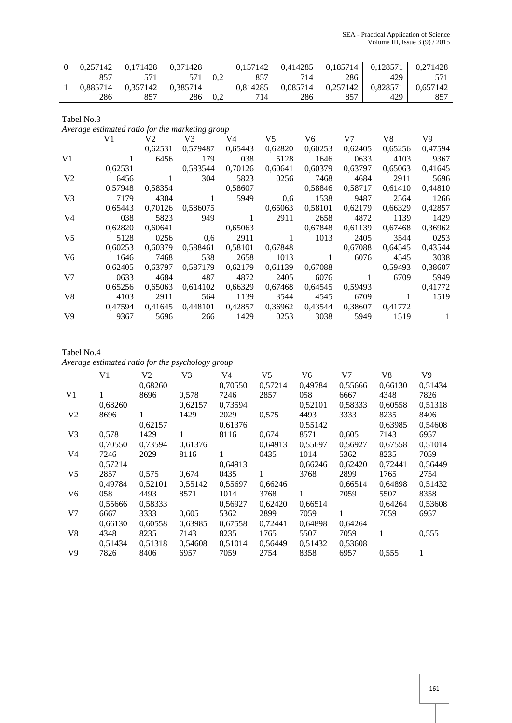| 0.257142 | 0,171428 | 0.371428 |     | 0.157142 | 0.414285 | 0.185714 | 0.128571 | 0.271428 |
|----------|----------|----------|-----|----------|----------|----------|----------|----------|
| 857      |          |          | 0.2 | 857      | 714      | 286      | 429      |          |
| 0.885714 | 0.357142 | 0.385714 |     | 0.814285 | 0.085714 | 0.257142 | 0.828571 | 0.657142 |
| 286      |          | 286      | 0.2 | 714      | 286      | 857      | 429      | 857      |

Tabel No.3

*Average estimated ratio for the marketing group*

|                | V1      | V2      | V3                               | V4      | V <sub>5</sub>  | V6           | V7      | V8      | V9           |
|----------------|---------|---------|----------------------------------|---------|-----------------|--------------|---------|---------|--------------|
|                |         | 0.62531 | 0,579487                         | 0,65443 | 0,62820         | 0,60253      | 0,62405 | 0,65256 | 0,47594      |
| V1             |         | 6456    | 179                              | 038     | 5128            | 1646         | 0633    | 4103    | 9367         |
|                | 0,62531 |         | 0,583544                         | 0,70126 | 0,60641         | 0,60379      | 0,63797 | 0,65063 | 0,41645      |
| V <sub>2</sub> | 6456    | 1       | 304                              | 5823    | 0256            | 7468         | 4684    | 2911    | 5696         |
|                | 0.57948 | 0,58354 |                                  | 0,58607 |                 | 0,58846      | 0,58717 | 0,61410 | 0,44810      |
| $V_3$          | 7179    | 4304    | $\pm$                            | 5949    | 0,6             | 1538         | 9487    | 2564    | 1266         |
|                | 0,65443 |         | 0,70126 0,586075                 |         | 0,65063         | 0,58101      | 0,62179 | 0,66329 | 0,42857      |
| V <sub>4</sub> | 038     | 5823    | 949                              | -1      | 2911            | 2658         | 4872    | 1139    | 1429         |
|                | 0.62820 | 0,60641 |                                  | 0,65063 |                 | 0,67848      | 0,61139 | 0,67468 | 0,36962      |
| $V_5$          | 5128    | 0256    | 0,6                              | 2911    | 1               | 1013         | 2405    | 3544    | 0253         |
|                | 0.60253 |         | 0,60379 0,588461                 |         | 0,58101 0,67848 |              | 0,67088 | 0,64545 | 0,43544      |
| V6             | 1646    | 7468    | 538                              | 2658    | 1013            | $\mathbf{1}$ | 6076    | 4545    | 3038         |
|                | 0.62405 | 0.63797 | 0,587179                         | 0,62179 | 0,61139         | 0,67088      |         | 0.59493 | 0,38607      |
| V <sub>7</sub> | 0633    | 4684    | 487                              | 4872    | 2405            | 6076         |         | 6709    | 5949         |
|                | 0.65256 | 0.65063 | 0.614102                         | 0.66329 | 0,67468         | 0,64545      | 0.59493 |         | 0,41772      |
| V <sup>8</sup> | 4103    | 2911    | 564                              | 1139    | 3544            | 4545         | 6709    | 1       | 1519         |
|                | 0,47594 |         | 0,41645 0,448101 0,42857 0,36962 |         |                 | 0,43544      | 0,38607 | 0,41772 |              |
| V <sub>9</sub> | 9367    | 5696    | 266                              | 1429    | 0253            | 3038         | 5949    | 1519    | $\mathbf{1}$ |

Tabel No.4 *Average estimated ratio for the psychology group*

|                | V1      | V2<br>0,68260 | V3      | V4<br>0,70550 | V5<br>0,57214 | V6<br>0,49784 | V7<br>0,55666 | V8<br>0,66130 | V9<br>0,51434 |
|----------------|---------|---------------|---------|---------------|---------------|---------------|---------------|---------------|---------------|
| V <sub>1</sub> |         | 8696          | 0,578   | 7246          | 2857          | 058           | 6667          | 4348          | 7826          |
|                | 0,68260 |               | 0,62157 | 0,73594       |               | 0,52101       | 0,58333       | 0,60558       | 0,51318       |
| V <sub>2</sub> | 8696    | 1             | 1429    | 2029          | 0,575         | 4493          | 3333          | 8235          | 8406          |
|                |         | 0,62157       |         | 0,61376       |               | 0,55142       |               | 0,63985       | 0,54608       |
| V <sub>3</sub> | 0,578   | 1429          | 1       | 8116          | 0,674         | 8571          | 0.605         | 7143          | 6957          |
|                | 0,70550 | 0,73594       | 0,61376 |               | 0,64913       | 0,55697       | 0,56927       | 0,67558       | 0,51014       |
| V4             | 7246    | 2029          | 8116    | 1             | 0435          | 1014          | 5362          | 8235          | 7059          |
|                | 0,57214 |               |         | 0,64913       |               | 0,66246       | 0,62420       | 0,72441       | 0,56449       |
| V <sub>5</sub> | 2857    | 0,575         | 0.674   | 0435          | 1             | 3768          | 2899          | 1765          | 2754          |
|                | 0.49784 | 0.52101       | 0.55142 | 0.55697       | 0,66246       |               | 0.66514       | 0.64898       | 0.51432       |
| V <sub>6</sub> | 058     | 4493          | 8571    | 1014          | 3768          | 1             | 7059          | 5507          | 8358          |
|                | 0,55666 | 0,58333       |         | 0,56927       | 0,62420       | 0,66514       |               | 0,64264       | 0,53608       |
| V <sub>7</sub> | 6667    | 3333          | 0,605   | 5362          | 2899          | 7059          | 1             | 7059          | 6957          |
|                | 0,66130 | 0,60558       | 0,63985 | 0,67558       | 0,72441       | 0,64898       | 0,64264       |               |               |
| V8             | 4348    | 8235          | 7143    | 8235          | 1765          | 5507          | 7059          | 1             | 0,555         |
|                | 0,51434 | 0,51318       | 0,54608 | 0,51014       | 0,56449       | 0,51432       | 0,53608       |               |               |
| V <sub>9</sub> | 7826    | 8406          | 6957    | 7059          | 2754          | 8358          | 6957          | 0,555         | 1             |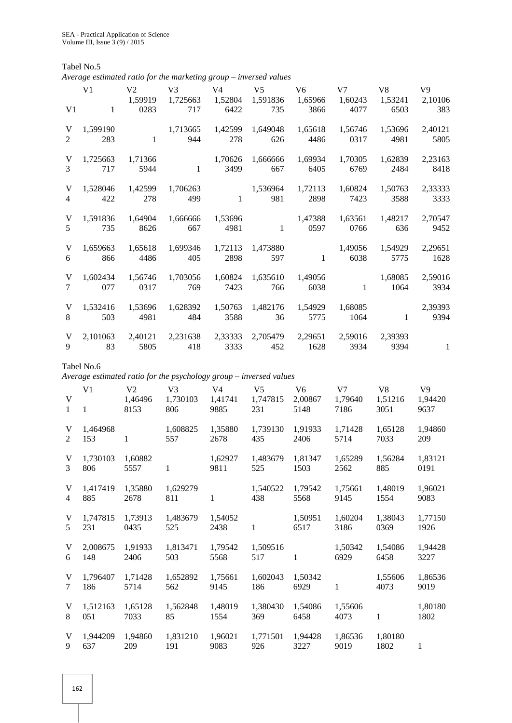Tabel No.5

|                   |                                |                                   | Average estimated ratio for the marketing group – inversed values  |                                   |                                   |                                   |                                   |                                   |                                   |
|-------------------|--------------------------------|-----------------------------------|--------------------------------------------------------------------|-----------------------------------|-----------------------------------|-----------------------------------|-----------------------------------|-----------------------------------|-----------------------------------|
| V <sub>1</sub>    | V <sub>1</sub><br>1            | V <sub>2</sub><br>1,59919<br>0283 | V <sub>3</sub><br>1,725663<br>717                                  | V <sub>4</sub><br>1,52804<br>6422 | V <sub>5</sub><br>1,591836<br>735 | V <sub>6</sub><br>1,65966<br>3866 | V <sub>7</sub><br>1,60243<br>4077 | V <sub>8</sub><br>1,53241<br>6503 | V9<br>2,10106<br>383              |
| V                 | 1,599190                       | $\mathbf{1}$                      | 1,713665                                                           | 1,42599                           | 1,649048                          | 1,65618                           | 1,56746                           | 1,53696                           | 2,40121                           |
| $\overline{2}$    | 283                            |                                   | 944                                                                | 278                               | 626                               | 4486                              | 0317                              | 4981                              | 5805                              |
| V                 | 1,725663                       | 1,71366                           | 1                                                                  | 1,70626                           | 1,666666                          | 1,69934                           | 1,70305                           | 1,62839                           | 2,23163                           |
| 3                 | 717                            | 5944                              |                                                                    | 3499                              | 667                               | 6405                              | 6769                              | 2484                              | 8418                              |
| V                 | 1,528046                       | 1,42599                           | 1,706263                                                           | 1                                 | 1,536964                          | 1,72113                           | 1,60824                           | 1,50763                           | 2,33333                           |
| 4                 | 422                            | 278                               | 499                                                                |                                   | 981                               | 2898                              | 7423                              | 3588                              | 3333                              |
| V                 | 1,591836                       | 1,64904                           | 1,666666                                                           | 1,53696                           | 1                                 | 1,47388                           | 1,63561                           | 1,48217                           | 2,70547                           |
| 5                 | 735                            | 8626                              | 667                                                                | 4981                              |                                   | 0597                              | 0766                              | 636                               | 9452                              |
| V                 | 1,659663                       | 1,65618                           | 1,699346                                                           | 1,72113                           | 1,473880                          | $\mathbf{1}$                      | 1,49056                           | 1,54929                           | 2,29651                           |
| 6                 | 866                            | 4486                              | 405                                                                | 2898                              | 597                               |                                   | 6038                              | 5775                              | 1628                              |
| V                 | 1,602434                       | 1,56746                           | 1,703056                                                           | 1,60824                           | 1,635610                          | 1,49056                           | $\mathbf{1}$                      | 1,68085                           | 2,59016                           |
| 7                 | 077                            | 0317                              | 769                                                                | 7423                              | 766                               | 6038                              |                                   | 1064                              | 3934                              |
| V                 | 1,532416                       | 1,53696                           | 1,628392                                                           | 1,50763                           | 1,482176                          | 1,54929                           | 1,68085                           | 1                                 | 2,39393                           |
| 8                 | 503                            | 4981                              | 484                                                                | 3588                              | 36                                | 5775                              | 1064                              |                                   | 9394                              |
| V                 | 2,101063                       | 2,40121                           | 2,231638                                                           | 2,33333                           | 2,705479                          | 2,29651                           | 2,59016                           | 2,39393                           | 1                                 |
| 9                 | 83                             | 5805                              | 418                                                                | 3333                              | 452                               | 1628                              | 3934                              | 9394                              |                                   |
|                   | Tabel No.6                     |                                   | Average estimated ratio for the psychology group – inversed values |                                   |                                   |                                   |                                   |                                   |                                   |
| V<br>$\mathbf{1}$ | V <sub>1</sub><br>$\mathbf{1}$ | V <sub>2</sub><br>1,46496<br>8153 | V <sub>3</sub><br>1,730103<br>806                                  | V <sub>4</sub><br>1,41741<br>9885 | V <sub>5</sub><br>1,747815<br>231 | V <sub>6</sub><br>2,00867<br>5148 | V <sub>7</sub><br>1,79640<br>7186 | V <sub>8</sub><br>1,51216<br>3051 | V <sub>9</sub><br>1,94420<br>9637 |
| V                 | 1,464968                       | $\mathbf{1}$                      | 1,608825                                                           | 1,35880                           | 1,739130                          | 1,91933                           | 1,71428                           | 1,65128                           | 1,94860                           |
| 2                 | 153                            |                                   | 557                                                                | 2678                              | 435                               | 2406                              | 5714                              | 7033                              | 209                               |
| V<br>3            | 1,730103 1,60882<br>806        | 5557                              | $\mathbf{1}$                                                       | 1,62927<br>9811                   | 1,483679 1,81347<br>525           | 1503                              | 1,65289<br>2562                   | 1,56284<br>885                    | 1,83121<br>0191                   |
| V                 | 1,417419                       | 1,35880                           | 1,629279                                                           | $\mathbf{1}$                      | 1,540522                          | 1,79542                           | 1,75661                           | 1,48019                           | 1,96021                           |
| 4                 | 885                            | 2678                              | 811                                                                |                                   | 438                               | 5568                              | 9145                              | 1554                              | 9083                              |
| V                 | 1,747815                       | 1,73913                           | 1,483679                                                           | 1,54052                           | $\mathbf{1}$                      | 1,50951                           | 1,60204                           | 1,38043                           | 1,77150                           |
| 5                 | 231                            | 0435                              | 525                                                                | 2438                              |                                   | 6517                              | 3186                              | 0369                              | 1926                              |
| V                 | 2,008675                       | 1,91933                           | 1,813471                                                           | 1,79542                           | 1,509516                          | $\mathbf{1}$                      | 1,50342                           | 1,54086                           | 1,94428                           |
| 6                 | 148                            | 2406                              | 503                                                                | 5568                              | 517                               |                                   | 6929                              | 6458                              | 3227                              |

| V.          | 1,796407          | 1,71428         | 1,652892       | 1,75661         | 1.602043        | 1.50342         |                 | 1,55606 | 1,86536         |
|-------------|-------------------|-----------------|----------------|-----------------|-----------------|-----------------|-----------------|---------|-----------------|
| $7^{\circ}$ | 186               | 5714            | 562            | 9145            | 186             | 6929            |                 | 4073    | 9019            |
| 8           | V 1.512163<br>051 | 1,65128<br>7033 | 1,562848<br>85 | 1,48019<br>1554 | 1,380430<br>369 | 1.54086<br>6458 | 1,55606<br>4073 |         | 1,80180<br>1802 |
| V.          | 1.944209          | 1.94860         | 1,831210       | 1,96021         | 1,771501        | 1.94428         | 1.86536         | 1.80180 |                 |
| 9           | 637               | 209             | 191            | 9083            | 926             | 3227            | 9019            | 1802    |                 |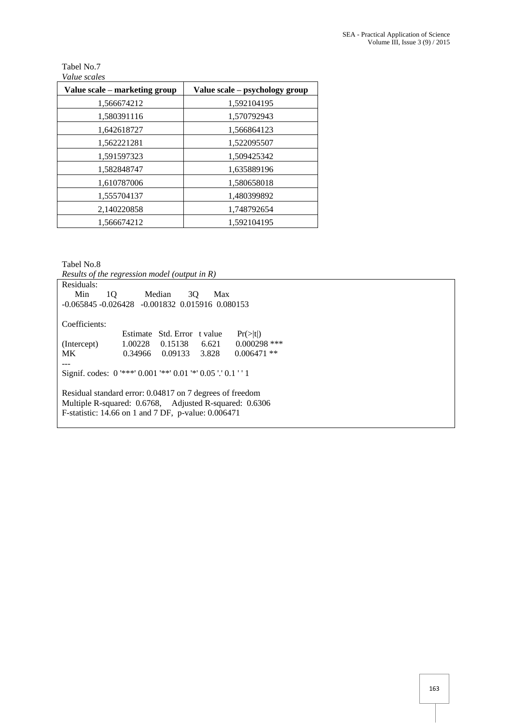## Tabel No.7 *Value scales*

| Value scale – marketing group | Value scale – psychology group |
|-------------------------------|--------------------------------|
| 1,566674212                   | 1,592104195                    |
| 1,580391116                   | 1,570792943                    |
| 1,642618727                   | 1,566864123                    |
| 1,562221281                   | 1,522095507                    |
| 1,591597323                   | 1,509425342                    |
| 1,582848747                   | 1,635889196                    |
| 1,610787006                   | 1,580658018                    |
| 1,555704137                   | 1,480399892                    |
| 2,140220858                   | 1,748792654                    |
| 1,566674212                   | 1.592104195                    |

Tabel No.8

*Results of the regression model (output in R)*

| Residuals:    |                                                                |                    |                      |  |  |  |  |
|---------------|----------------------------------------------------------------|--------------------|----------------------|--|--|--|--|
| Min<br>1Q     | Median                                                         | 3O<br>Max          |                      |  |  |  |  |
|               | $-0.065845 - 0.026428 - 0.001832$ 0.015916 0.080153            |                    |                      |  |  |  |  |
|               |                                                                |                    |                      |  |  |  |  |
| Coefficients: |                                                                |                    |                      |  |  |  |  |
|               | Estimate                                                       | Std. Error t value | $Pr(>\vert t \vert)$ |  |  |  |  |
| (Intercept)   | 1.00228<br>0.15138                                             | 6.621              | $0.000298$ ***       |  |  |  |  |
| MK.           | 0.34966<br>0.09133                                             | 3.828              | $0.006471$ **        |  |  |  |  |
|               |                                                                |                    |                      |  |  |  |  |
|               | Signif. codes: $0$ '***' 0.001 '**' 0.01 '*' 0.05 '.' 0.1 '' 1 |                    |                      |  |  |  |  |
|               |                                                                |                    |                      |  |  |  |  |
|               | Residual standard error: 0.04817 on 7 degrees of freedom       |                    |                      |  |  |  |  |
|               | Multiple R-squared: 0.6768, Adjusted R-squared: 0.6306         |                    |                      |  |  |  |  |
|               | F-statistic: 14.66 on 1 and 7 DF, p-value: 0.006471            |                    |                      |  |  |  |  |
|               |                                                                |                    |                      |  |  |  |  |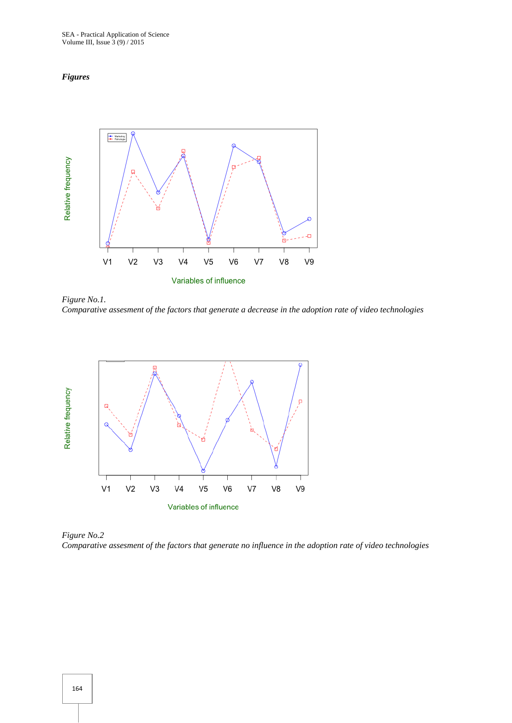#### *Figures*



*Figure No.1. Comparative assesment of the factors that generate a decrease in the adoption rate of video technologies*



*Figure No.2 Comparative assesment of the factors that generate no influence in the adoption rate of video technologies*